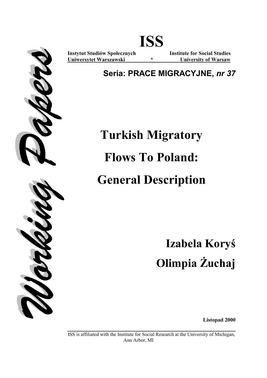

**ISS** 

**Uniwersytet Warszawski \* University of Warsaw**

**Instytut Studiów Społecznych Institute for Social Studies** 

**Seria: PRACE MIGRACYJNE,** *nr 37*

# **Turkish Migratory Flows To Poland: General Description**

**Izabela Koryś Olimpia Żuchaj** 

**Listopad 2000** 

**\_\_\_\_\_\_\_\_\_\_\_\_\_\_\_\_\_\_\_\_\_\_\_\_\_\_\_\_\_\_\_\_\_\_\_\_\_\_\_\_\_\_\_\_\_\_\_\_\_\_\_\_\_\_\_\_** ISS is affiliated with the Institute for Social Research at the University of Michigan, Ann Arbor, MI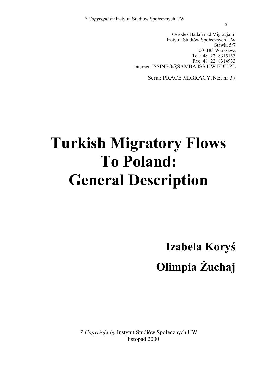Ośrodek Badań nad Migracjami Instytut Studiów Społecznych UW Stawki 5/7 00–183 Warszawa Tel.: 48+22+8315153 Fax: 48+22+8314933 Internet: ISSINFO@SAMBA.ISS.UW.EDU.PL

Seria: PRACE MIGRACYJNE, nr 37

# **Turkish Migratory Flows To Poland: General Description**

**Izabela Koryś Olimpia Żuchaj** 

© *Copyright by* Instytut Studiów Społecznych UW listopad 2000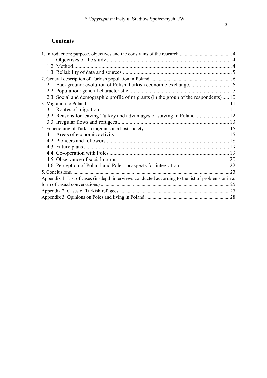## **Contents**

| 2.2. Population: general characteristic                                                            |  |
|----------------------------------------------------------------------------------------------------|--|
| 2.3. Social and demographic profile of migrants (in the group of the respondents) 10               |  |
|                                                                                                    |  |
|                                                                                                    |  |
| 3.2. Reasons for leaving Turkey and advantages of staying in Poland  12                            |  |
|                                                                                                    |  |
|                                                                                                    |  |
|                                                                                                    |  |
|                                                                                                    |  |
|                                                                                                    |  |
|                                                                                                    |  |
|                                                                                                    |  |
|                                                                                                    |  |
| 5. Conclusions                                                                                     |  |
| Appendix 1. List of cases (in-depth interviews conducted according to the list of problems or in a |  |
|                                                                                                    |  |
|                                                                                                    |  |
|                                                                                                    |  |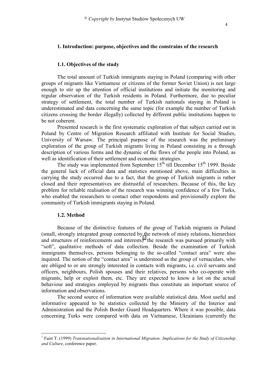## **1. Introduction: purpose, objectives and the constrains of the research**

#### **1.1. Objectives of the study**

The total amount of Turkish immigrants staying in Poland (comparing with other groups of migrants like Vietnamese or citizens of the former Soviet Union) is not large enough to stir up the attention of official institutions and initiate the monitoring and regular observation of the Turkish residents in Poland. Furthermore, due to peculiar strategy of settlement, the total number of Turkish nationals staying in Poland is underestimated and data concerning the same topic (for example the number of Turkish citizens crossing the border illegally) collected by different public institutions happen to be not coherent.

Presented research is the first systematic exploration of that subject carried out in Poland by Centre of Migration Research affiliated with Institute for Social Studies, University of Warsaw. The principal purpose of the research was the preliminary exploration of the group of Turkish migrants living in Poland consisting in a through description of various forms and the dynamic of the flows of the people into Poland, as well as identification of their settlement and economic strategies.

The study was implemented from September  $15<sup>th</sup>$  till December  $15<sup>th</sup>$  1999. Beside the general lack of official data and statistics mentioned above, main difficulties in carrying the study occurred due to a fact, that the group of Turkish migrants is rather closed and their representatives are distrustful of researchers. Because of this, the key problem for reliable realisation of the research was winning confidence of a few Turks, who enabled the researchers to contact other respondents and provisionally explore the community of Turkish immigrants staying in Poland.

#### **1.2. Method**

 $\overline{a}$ 

Because of the distinctive features of the group of Turkish migrants in Poland (small, strongly integrated group connected by the network of misty relations, hierarchies and structures of reinforcements and interests) $1$  the research was pursued primarily with "soft", qualitative methods of data collection. Beside the examination of Turkish immigrants themselves, persons belonging to the so-called "contact area" were also inquired. The notion of the "contact area" is understood as the group of vernaculars, who are obliged to or are strongly interested in contacts with migrants, i.e. civil servants and officers, neighbours, Polish spouses and their relatives, persons who co-operate with migrants, help or exploit them, etc. They are expected to know a lot on the actual behaviour and strategies employed by migrants thus constitute an important source of information and observations.

The second source of information were available statistical data. Most useful and informative appeared to be statistics collected by the Ministry of the Interior and Administration and the Polish Border Guard Headquarters. Where it was possible, data concerning Turks were compared with data on Vietnamese, Ukrainians (currently the

<sup>&</sup>lt;sup>1</sup> Faist T. (1999) *Transnationalisation in International Migration: Implications for the Study of Citizenship and Culture*, conference paper.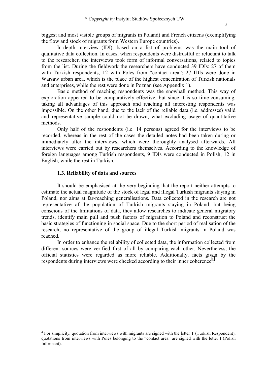biggest and most visible groups of migrants in Poland) and French citizens (exemplifying the flow and stock of migrants form Western Europe countries).

In-depth interview (IDI), based on a list of problems was the main tool of qualitative data collection. In cases, when respondents were distrustful or reluctant to talk to the researcher, the interviews took form of informal conversations, related to topics from the list. During the fieldwork the researchers have conducted 39 IDIs: 27 of them with Turkish respondents, 12 with Poles from "contact area"; 27 IDIs were done in Warsaw urban area, which is the place of the highest concentration of Turkish nationals and enterprises, while the rest were done in Poznan (see Appendix 1).

Basic method of reaching respondents was the snowball method. This way of exploration appeared to be comparatively effective, but since it is so time-consuming, taking all advantages of this approach and reaching all interesting respondents was impossible. On the other hand, due to the lack of the reliable data (i.e. addresses) valid and representative sample could not be drawn, what excluding usage of quantitative methods.

Only half of the respondents (i.e. 14 persons) agreed for the interviews to be recorded, whereas in the rest of the cases the detailed notes had been taken during or immediately after the interviews, which were thoroughly analysed afterwards. All interviews were carried out by researchers themselves. According to the knowledge of foreign languages among Turkish respondents, 9 IDIs were conducted in Polish, 12 in English, while the rest in Turkish.

## **1.3. Reliability of data and sources**

 $\overline{a}$ 

It should be emphasised at the very beginning that the report neither attempts to estimate the actual magnitude of the stock of legal and illegal Turkish migrants staying in Poland, nor aims at far-reaching generalisations. Data collected in the research are not representative of the population of Turkish migrants staying in Poland, but being conscious of the limitations of data, they allow researches to indicate general migratory trends, identify main pull and push factors of migration to Poland and reconstruct the basic strategies of functioning in social space. Due to the short period of realisation of the research, no representative of the group of illegal Turkish migrants in Poland was reached.

In order to enhance the reliability of collected data, the information collected from different sources were verified first of all by comparing each other. Nevertheless, the official statistics were regarded as more reliable. Additionally, facts given by the respondents during interviews were checked according to their inner coherence<sup>2</sup>.

<sup>&</sup>lt;sup>2</sup> For simplicity, quotation from interviews with migrants are signed with the letter T (Turkish Respondent), quotations from interviews with Poles belonging to the "contact area" are signed with the letter I (Polish Informant).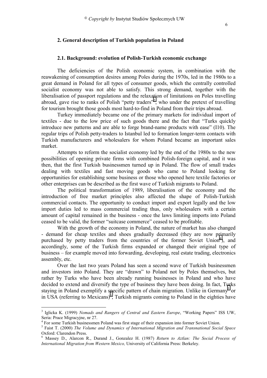## **2. General description of Turkish population in Poland**

## **2.1. Background: evolution of Polish-Turkish economic exchange**

The deficiencies of the Polish economic system, in combination with the reawakening of consumption desires among Poles during the 1970s, led in the 1980s to a great demand in Poland for all types of consumer goods, which the centrally controlled socialist economy was not able to satisfy. This strong demand, together with the liberalisation of passport regulations and the relaxation of limitations on Poles travelling abroad, gave rise to ranks of Polish "petty traders"<sup>3</sup>, who under the pretext of travelling for tourism brought those goods most hard-to-find in Poland from their trips abroad.

Turkey immediately became one of the primary markets for individual import of textiles - due to the low price of such goods there and the fact that "Turks quickly introduce new patterns and are able to forge brand-name products with ease" (I10). The regular trips of Polish petty-traders to Istanbul led to formation longer-term contacts with Turkish manufacturers and wholesalers for whom Poland became an important sales market.

Attempts to reform the socialist economy led by the end of the 1980s to the new possibilities of opening private firms with combined Polish-foreign capital, and it was then, that the first Turkish businessmen turned up in Poland. The flow of small trades dealing with textiles and fast moving goods who came to Poland looking for opportunities for establishing some business or those who opened here textile factories or other enterprises can be described as the first wave of Turkish migrants to Poland.

The political transformation of 1989, liberalisation of the economy and the introduction of free market principles also affected the shape of Polish-Turkish commercial contacts. The opportunity to conduct import and export legally and the low import duties led to mass commercial trading thus, only wholesalers with a certain amount of capital remained in the business - once the laws limiting imports into Poland ceased to be valid, the former "suitcase commerce" ceased to be profitable.

With the growth of the economy in Poland, the nature of market has also changed - demand for cheap textiles and shoes gradually decreased (they are now primarily purchased by petty traders from the countries of the former Soviet Union<sup>4</sup>), and accordingly, some of the Turkish firms expanded or changed their original type of business – for example moved into forwarding, developing, real estate trading, electronics assembly, etc.

Over the last two years Poland has seen a second wave of Turkish businessmen and investors into Poland. They are "drawn" to Poland not by Poles themselves, but rather by Turks who have been already running businesses in Poland and who have decided to extend and diversify the type of business they have been doing. In fact, Turks staying in Poland exemplify a specific pattern of chain migration. Unlike in Germany<sup>5</sup> or in USA (referring to Mexicans) $\delta$ , Turkish migrants coming to Poland in the eighties have

 $\overline{a}$ 

<sup>3</sup> Iglicka K. (1999) *Nomads and Rangers of Central and Eastern Europe*, "Working Papers" ISS UW, Seria: Prace Migracyjne, nr 27.

<sup>&</sup>lt;sup>4</sup> For some Turkish businessmen Poland was first stage of their expansion into former Soviet Union.

<sup>5</sup> Faist T. (2000) *The Volume and Dynamics of International Migration and Transnational Social Space* Oxford: Clarendon Press.

<sup>6</sup> Massey D., Alarcon R., Durand J., Gonzalez H. (1987) *Return to Aztlan: The Social Process of International Migration from Western Mexico,* University of California Press: Berkeley.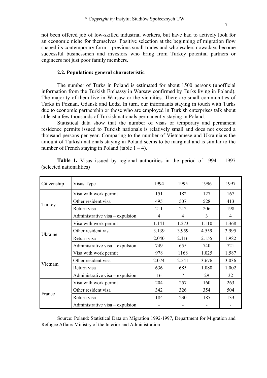not been offered job of low-skilled industrial workers, but have had to actively look for an economic niche for themselves. Positive selection at the beginning of migration flow shaped its contemporary form – previous small trades and wholesalers nowadays become successful businessmen and investors who bring from Turkey potential partners or engineers not just poor family members.

#### **2.2. Population: general characteristic**

The number of Turks in Poland is estimated for about 1500 persons (unofficial information from the Turkish Embassy in Warsaw confirmed by Turks living in Poland). The majority of them live in Warsaw or the vicinities. There are small communities of Turks in Poznan, Gdansk and Lodz. In turn, our informants staying in touch with Turks due to economic partnership or those who are employed in Turkish enterprises talk about at least a few thousands of Turkish nationals permanently staying in Poland.

Statistical data show that the number of visas or temporary and permanent residence permits issued to Turkish nationals is relatively small and does not exceed a thousand persons per year. Comparing to the number of Vietnamese and Ukrainians the amount of Turkish nationals staying in Poland seems to be marginal and is similar to the number of French staying in Poland (table  $1 - 4$ ).

| Citizenship | Visas Type                      | 1994  | 1995  | 1996  | 1997  |
|-------------|---------------------------------|-------|-------|-------|-------|
|             | Visa with work permit           | 151   | 182   | 127   | 167   |
| Turkey      | Other resident visa             | 495   | 507   | 528   | 413   |
|             | Return visa                     | 211   | 212   | 206   | 198   |
|             | Administrative visa – expulsion | 4     | 4     | 3     | 4     |
|             | Visa with work permit           | 1.141 | 1.273 | 1.110 | 1.368 |
|             | Other resident visa             | 3.139 | 3.959 | 4.559 | 3.995 |
| Ukraine     | Return visa                     | 2.040 | 2.116 | 2.155 | 1.982 |
|             | Administrative visa – expulsion | 749   | 655   | 740   | 721   |
|             | Visa with work permit           | 978   | 1168  | 1.025 | 1.587 |
|             | Other resident visa             | 2.074 | 2.541 | 3.676 | 3.036 |
| Vietnam     | Return visa                     | 636   | 685   | 1.080 | 1.002 |
|             | Administrative visa – expulsion | 16    | 7     | 29    | 32    |
|             | Visa with work permit           | 204   | 257   | 160   | 263   |
|             | Other resident visa             | 342   | 326   | 354   | 504   |
| France      | Return visa                     | 184   | 230   | 185   | 133   |
|             | Administrative visa – expulsion |       |       |       |       |

**Table 1.** Visas issued by regional authorities in the period of 1994 – 1997 (selected nationalities)

Source: Poland: Statistical Data on Migration 1992-1997, Department for Migration and Refugee Affairs Ministry of the Interior and Administration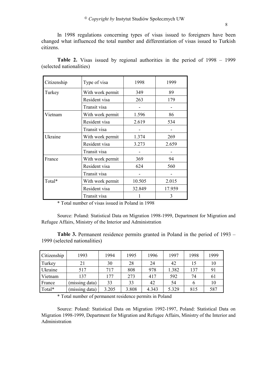In 1998 regulations concerning types of visas issued to foreigners have been changed what influenced the total number and differentiation of visas issued to Turkish citizens.

| Citizenship | Type of visa     | 1998   | 1999   |
|-------------|------------------|--------|--------|
| Turkey      | With work permit | 349    | 89     |
|             | Resident visa    | 263    | 179    |
|             | Transit visa     |        |        |
| Vietnam     | With work permit | 1.596  | 86     |
|             | Resident visa    | 2.619  | 534    |
|             | Transit visa     |        |        |
| Ukraine     | With work permit | 1.374  | 269    |
|             | Resident visa    | 3.273  | 2.659  |
|             | Transit visa     |        |        |
| France      | With work permit | 369    | 94     |
|             | Resident visa    | 624    | 560    |
|             | Transit visa     |        |        |
| Total*      | With work permit | 10.505 | 2.015  |
|             | Resident visa    | 32.849 | 17.959 |
|             | Transit visa     |        | 3      |

**Table 2.** Visas issued by regional authorities in the period of 1998 – 1999 (selected nationalities)

\* Total number of visas issued in Poland in 1998

Source: Poland: Statistical Data on Migration 1998-1999, Department for Migration and Refugee Affairs, Ministry of the Interior and Administration

**Table 3.** Permanent residence permits granted in Poland in the period of 1993 – 1999 (selected nationalities)

| Citizenship | 1993           | 1994  | 1995  | 1996  | 1997  | 1998 | 1999 |
|-------------|----------------|-------|-------|-------|-------|------|------|
| Turkey      | 21             | 30    | 28    | 24    | 42    | 15   | 10   |
| Ukraine     | 517            | 717   | 808   | 978   | 1.382 | 137  | 91   |
| Vietnam     | 137            | 177   | 273   | 417   | 592   | 74   | 61   |
| France      | (missing data) | 33    | 33    | 42    | 54    | h    | 10   |
| Total*      | (missing data) | 3.205 | 3.808 | 4.343 | 5.329 | 815  | 587  |

\* Total number of permanent residence permits in Poland

Source: Poland: Statistical Data on Migration 1992-1997, Poland: Statistical Data on Migration 1998-1999, Department for Migration and Refugee Affairs, Ministry of the Interior and Administration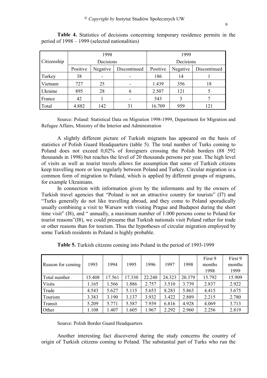|                |           | 1998                     |    | 1999      |          |              |  |
|----------------|-----------|--------------------------|----|-----------|----------|--------------|--|
| Citizenship    | Decisions |                          |    | Decisions |          |              |  |
|                | Positive  | Negative<br>Discontinued |    | Positive  | Negative | Discontinued |  |
| Turkey         | 38        |                          |    | 186       | 14       |              |  |
| Vietnam        | 727       | 25                       |    | 1.439     | 356      | 18           |  |
| <b>Ukraine</b> | 895       | 28                       | n  | 2.507     | 121      |              |  |
| France         | 42        |                          |    | 543       | 3        |              |  |
| Total          | 4.882     | 142                      | 31 | 16.709    | 959      | 121          |  |

**Table 4.** Statistics of decisions concerning temporary residence permits in the period of 1998 – 1999 (selected nationalities)

Source: Poland: Statistical Data on Migration 1998-1999, Department for Migration and Refugee Affairs, Ministry of the Interior and Administration

A slightly different picture of Turkish migrants has appeared on the basis of statistics of Polish Guard Headquarters (table 5). The total number of Turks coming to Poland does not exceed 0,02% of foreigners crossing the Polish borders (88 592 thousands in 1998) but reaches the level of 20 thousands persons per year. The high level of visits as well as tourist travels allows for assumption that some of Turkish citizens keep travelling more or less regularly between Poland and Turkey. Circular migration is a common form of migration to Poland, which is applied by different groups of migrants, for example Ukrainians.

In connection with information given by the informants and by the owners of Turkish travel agencies that "Poland is not an attractive country for tourists" (I7) and "Turks generally do not like travelling abroad, and they come to Poland sporadically usually combining a visit to Warsaw with visiting Prague and Budapest during the short time visit" (I8), and " annually, a maximum number of 1.000 persons come to Poland for tourist reasons"(I8), we could presume that Turkish nationals visit Poland rather for trade or other reasons than for tourism. Thus the hypotheses of circular migration employed by some Turkish residents in Poland is highly probable.

|                   |        |        |        |        |        |        | First 9 | First 9 |
|-------------------|--------|--------|--------|--------|--------|--------|---------|---------|
| Reason for coming | 1993   | 1994   | 1995   | 1996   | 1997   | 1998   | months  | months  |
|                   |        |        |        |        |        |        | 1998    | 1999    |
| Total number      | 15.408 | 17.561 | 17.330 | 22.248 | 24.323 | 20.379 | 15.792  | 15.909  |
| <b>Visits</b>     | 1.165  | 1.566  | 1.886  | 2.757  | 3.510  | 3.739  | 2.837   | 2.922   |
| Trade             | 4.543  | 5.627  | 5.115  | 5.653  | 8.283  | 5.863  | 4.415   | 3.675   |
| Tourism           | 3.383  | 3.190  | 3.137  | 3.932  | 3.422  | 2.889  | 2.215   | 2.780   |
| Transit           | 5.209  | 5.771  | 5.587  | 7.939  | 6.816  | 4.928  | 4.069   | 3.713   |
| Other             | 1.108  | 1.407  | 1.605  | 1.967  | 2.292  | 2.960  | 2.256   | 2.819   |

**Table 5.** Turkish citizens coming into Poland in the period of 1993-1999

Source: Polish Border Guard Headquarters

Another interesting fact discovered during the study concerns the country of origin of Turkish citizens coming to Poland. The substantial part of Turks who run the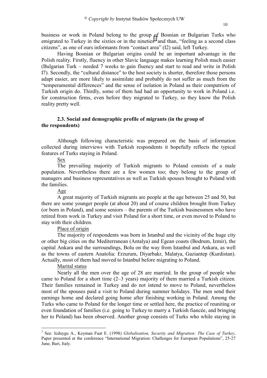business or work in Poland belong to the group of Bosnian or Bulgarian Turks who emigrated to Turkey in the sixties or in the nineties<sup>7</sup> and than, "feeling as a second class citizens", as one of ours informants from "contact area" (I2) said, left Turkey.

Having Bosnian or Bulgarian origins could be an important advantage in the Polish reality. Firstly, fluency in other Slavic language makes learning Polish much easier (Bulgarian Turk – needed 7 weeks to gain fluency and start to read and write in Polish I7). Secondly, the "cultural distance" to the host society is shorter, therefore those persons adapt easier, are more likely to assimilate and probably do not suffer as much from the "temperamental differences" and the sense of isolation in Poland as their compatriots of Turkish origin do. Thirdly, some of them had had an opportunity to work in Poland i.e. for construction firms, even before they migrated to Turkey, so they know the Polish reality pretty well.

## **2.3. Social and demographic profile of migrants (in the group of the respondents)**

Although following characteristic was prepared on the basis of information collected during interviews with Turkish respondents it hopefully reflects the typical features of Turks staying in Poland.

## Sex

The prevailing majority of Turkish migrants to Poland consists of a male population. Nevertheless there are a few women too; they belong to the group of managers and business representatives as well as Turkish spouses brought to Poland with the families.

## Age

A great majority of Turkish migrants are people at the age between 25 and 50, but there are some younger people (at about 20) and of course children brought from Turkey (or born in Poland), and some seniors – the parents of the Turkish businessmen who have retired from work in Turkey and visit Poland for a short time, or even moved to Poland to stay with their children.

## Place of origin

The majority of respondents was born in Istanbul and the vicinity of the huge city or other big cities on the Mediterranean (Antalya) and Egean coasts (Bodrum, Izmir), the capital Ankara and the surroundings, Bolu on the way from Istanbul and Ankara, as well as the towns of eastern Anatolia: Erzurum, Diyarbakr, Malatya, Gaziantep (Kurdistan). Actually, most of them had moved to Istanbul before migrating to Poland.

## Marital status

 $\overline{a}$ 

Nearly all the men over the age of 28 are married. In the group of people who came to Poland for a short time (2–3 years) majority of them married a Turkish citizen. Their families remained in Turkey and do not intend to move to Poland, nevertheless most of the spouses paid a visit to Poland during summer holidays. The men send their earnings home and declared going home after finishing working in Poland. Among the Turks who came to Poland for the longer time or settled here, the practice of reuniting or even foundation of families (i.e. going to Turkey to marry a Turkish fiancée, and bringing her to Poland) has been observed. Another group consists of Turks who while staying in

<sup>7</sup> See: Icduygu A., Keyman Fuat E. (1998) *Globalisation, Security and Migration: The Case of Turkey*, Paper presented at the conference "International Migration: Challenges for European Populations", 25-27 June, Bari, Italy.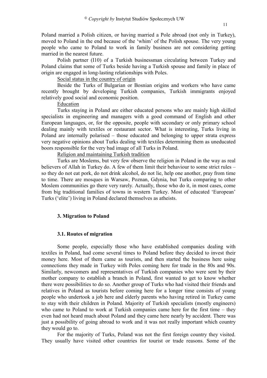Poland married a Polish citizen, or having married a Pole abroad (not only in Turkey), moved to Poland in the end because of the 'whim' of the Polish spouse. The very young people who came to Poland to work in family business are not considering getting married in the nearest future.

Polish partner (I10) of a Turkish businessman circulating between Turkey and Poland claims that some of Turks beside having a Turkish spouse and family in place of origin are engaged in long-lasting relationships with Poles.

Social status in the country of origin

Beside the Turks of Bulgarian or Bosnian origins and workers who have came recently brought by developing Turkish companies, Turkish immigrants enjoyed relatively good social and economic position.

#### Education

Turks staying in Poland are either educated persons who are mainly high skilled specialists in engineering and managers with a good command of English and other European languages, or, for the opposite, people with secondary or only primary school dealing mainly with textiles or restaurant sector. What is interesting, Turks living in Poland are internally polarised – those educated and belonging to upper strata express very negative opinions about Turks dealing with textiles determining them as uneducated boors responsible for the very bad image of all Turks in Poland.

Religion and maintaining Turkish tradition

Turks are Moslems, but very few observe the religion in Poland in the way as real believers of Allah in Turkey do. A few of them limit their behaviour to some strict rules – so they do not eat pork, do not drink alcohol, do not lie, help one another, pray from time to time. There are mosques in Warsaw, Poznan, Gdynia, but Turks comparing to other Moslem communities go there very rarely. Actually, those who do it, in most cases, come from big traditional families of towns in western Turkey. Most of educated 'European' Turks ('elite') living in Poland declared themselves as atheists.

## **3. Migration to Poland**

## **3.1. Routes of migration**

Some people, especially those who have established companies dealing with textiles in Poland, had come several times to Poland before they decided to invest their money here. Most of them came as tourists, and then started the business here using connections they made in Turkey with Poles coming here for trade in the 80s and 90s. Similarly, newcomers and representatives of Turkish companies who were sent by their mother company to establish a branch in Poland, first wanted to get to know whether there were possibilities to do so. Another group of Turks who had visited their friends and relatives in Poland as tourists before coming here for a longer time consists of young people who undertook a job here and elderly parents who having retired in Turkey came to stay with their children in Poland. Majority of Turkish specialists (mostly engineers) who came to Poland to work at Turkish companies came here for the first time – they even had not heard much about Poland and they came here nearly by accident. There was just a possibility of going abroad to work and it was not really important which country they would go to.

For the majority of Turks, Poland was not the first foreign country they visited. They usually have visited other countries for tourist or trade reasons. Some of the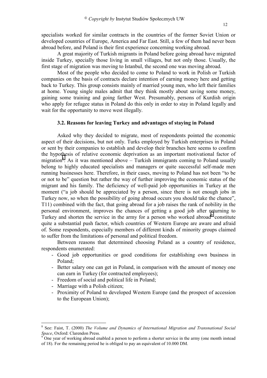specialists worked for similar contracts in the countries of the former Soviet Union or developed countries of Europe, America and Far East. Still, a few of them had never been abroad before, and Poland is their first experience concerning working abroad.

A great majority of Turkish migrants in Poland before going abroad have migrated inside Turkey, specially those living in small villages, but not only those. Usually, the first stage of migration was moving to Istanbul, the second one was moving abroad.

Most of the people who decided to come to Poland to work in Polish or Turkish companies on the basis of contracts declare intention of earning money here and getting back to Turkey. This group consists mainly of married young men, who left their families at home. Young single males admit that they think mostly about saving some money, gaining some training and going farther West. Presumably, persons of Kurdish origin who apply for refugee status in Poland do this only in order to stay in Poland legally and wait for the opportunity to move west illegally.

## **3.2. Reasons for leaving Turkey and advantages of staying in Poland**

Asked why they decided to migrate, most of respondents pointed the economic aspect of their decisions, but not only. Turks employed by Turkish enterprises in Poland or sent by their companies to establish and develop their branches here seems to confirm the hypothesis of relative economic deprivation as an important motivational factor of migration<sup>8</sup>. As it was mentioned above – Turkish immigrants coming to Poland usually belong to highly educated specialists and managers or quite successful self-made men running businesses here. Therefore, in their cases, moving to Poland has not been "to be or not to be" question but rather the way of further improving the economic status of the migrant and his family. The deficiency of well-paid job opportunities in Turkey at the moment ("a job should be appreciated by a person, since there is not enough jobs in Turkey now, so when the possibility of going abroad occurs you should take the chance", T11) combined with the fact, that going abroad for a job raises the rank of nobility in the personal environment, improves the chances of getting a good job after returning to Turkey and shorten the service in the army for a person who worked abroad<sup>9</sup> constitute quite a substantial push factor, which countries of Western Europe are aware and afraid of. Some respondents, especially members of different kinds of minority groups claimed to suffer from the limitations of personal and political freedom.

Between reasons that determined choosing Poland as a country of residence, respondents enumerated:

- Good job opportunities or good conditions for establishing own business in Poland;
- Better salary one can get in Poland, in comparison with the amount of money one can earn in Turkey (for contracted employees);
- Freedom of social and political life in Poland;
- Marriage with a Polish citizen;

 $\overline{a}$ 

- Proximity of Poland to developed Western Europe (and the prospect of accession to the European Union);

<sup>8</sup> See: Faist, T. (2000) *The Volume and Dynamics of International Migration and Transnational Social Space*, Oxford: Clarendon Press.

One year of working abroad enabled a person to perform a shorter service in the army (one month instead of 18). For the remaining period he is obliged to pay an equivalent of 10.000 DM.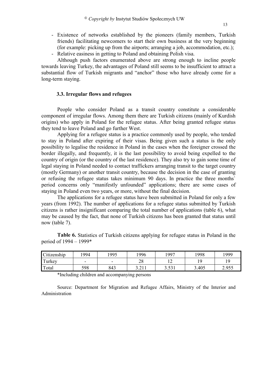- Existence of networks established by the pioneers (family members, Turkish friends) facilitating newcomers to start their own business at the very beginning (for example: picking up from the airports; arranging a job, accommodation, etc.);
- Relative easiness in getting to Poland and obtaining Polish visa.

Although push factors enumerated above are strong enough to incline people towards leaving Turkey, the advantages of Poland still seems to be insufficient to attract a substantial flow of Turkish migrants and "anchor" those who have already come for a long-term staying.

## **3.3. Irregular flows and refugees**

People who consider Poland as a transit country constitute a considerable component of irregular flows. Among them there are Turkish citizens (mainly of Kurdish origins) who apply in Poland for the refugee status. After being granted refugee status they tend to leave Poland and go further West.

Applying for a refugee status is a practice commonly used by people, who tended to stay in Poland after expiring of their visas. Being given such a status is the only possibility to legalise the residence in Poland in the cases when the foreigner crossed the border illegally, and frequently, it is the last possibility to avoid being expelled to the country of origin (or the country of the last residence). They also try to gain some time of legal staying in Poland needed to contact traffickers arranging transit to the target country (mostly Germany) or another transit country, because the decision in the case of granting or refusing the refugee status takes minimum 90 days. In practice the three months` period concerns only "manifestly unfounded" applications; there are some cases of staying in Poland even two years, or more, without the final decision.

The applications for a refugee status have been submitted in Poland for only a few years (from 1992). The number of applications for a refugee status submitted by Turkish citizens is rather insignificant comparing the total number of applications (table 6), what may be caused by the fact, that none of Turkish citizens has been granted that status until now (table 7).

| Citizenship | 994                      | 1995                     | 996      | 1997  | 998   | 1999  |
|-------------|--------------------------|--------------------------|----------|-------|-------|-------|
| Turkey      | $\overline{\phantom{0}}$ | $\overline{\phantom{0}}$ | ററ<br>20 | ∸     |       | 1 Q   |
| Total       | 598                      | 843                      | 3.211    | 3.531 | 3.405 | 2.955 |

**Table 6.** Statistics of Turkish citizens applying for refugee status in Poland in the period of 1994 – 1999\*

\*Including children and accompanying persons

Source: Department for Migration and Refugee Affairs, Ministry of the Interior and Administration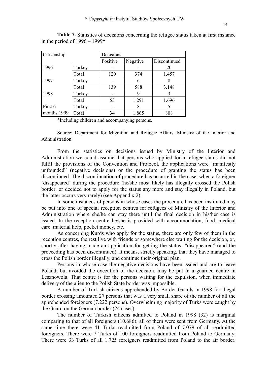| Citizenship |        | Decisions |          |              |  |  |  |
|-------------|--------|-----------|----------|--------------|--|--|--|
|             |        | Positive  | Negative | Discontinued |  |  |  |
| 1996        | Turkey |           |          | 20           |  |  |  |
|             | Total  | 120       | 374      | 1.457        |  |  |  |
| 1997        | Turkey |           | h        |              |  |  |  |
|             | Total  | 139       | 588      | 3.148        |  |  |  |
| 1998        | Turkey |           | 9        | 3            |  |  |  |
|             | Total  | 53        | 1.291    | 1.696        |  |  |  |
| First 6     | Turkey | -         | 8        | 5            |  |  |  |
| months 1999 | Total  | 34        | 1.865    | 808          |  |  |  |

**Table 7.** Statistics of decisions concerning the refugee status taken at first instance in the period of  $1996 - 1999*$ 

\*Including children and accompanying persons.

Source: Department for Migration and Refugee Affairs, Ministry of the Interior and Administration

From the statistics on decisions issued by Ministry of the Interior and Administration we could assume that persons who applied for a refugee status did not fulfil the provisions of the Convention and Protocol, the applications were "manifestly unfounded" (negative decisions) or the procedure of granting the status has been discontinued. The discontinuation of procedure has occurred in the case, when a foreigner 'disappeared' during the procedure (he/she most likely has illegally crossed the Polish border, or decided not to apply for the status any more and stay illegally in Poland, but the latter occurs very rarely) (see Appendix 2).

In some instances of persons in whose cases the procedure has been instituted may be put into one of special reception centres for refugees of Ministry of the Interior and Administration where she/he can stay there until the final decision in his/her case is issued. In the reception centre he/she is provided with accommodation, food, medical care, material help, pocket money, etc.

As concerning Kurds who apply for the status, there are only few of them in the reception centres, the rest live with friends or somewhere else waiting for the decision, or, shortly after having made an application for getting the status, "disappeared" (and the proceeding has been discontinued). It means, strictly speaking, that they have managed to cross the Polish border illegally, and continue their original plan.

Persons in whose case the negative decisions have been issued and are to leave Poland, but avoided the execution of the decision, may be put in a guarded centre in Lesznowola. That centre is for the persons waiting for the expulsion, when immediate delivery of the alien to the Polish State border was impossible.

A number of Turkish citizens apprehended by Border Guards in 1998 for illegal border crossing amounted 27 persons that was a very small share of the number of all the apprehended foreigners (7.222 persons). Overwhelming majority of Turks were caught by the Guard on the German border (24 cases).

The number of Turkish citizens admitted to Poland in 1998 (32) is marginal comparing to that of all foreigners (10.686); all of them were sent from Germany. At the same time there were 41 Turks readmitted from Poland of 7.079 of all readmitted foreigners. There were 7 Turks of 100 foreigners readmitted from Poland to Germany. There were 33 Turks of all 1.725 foreigners readmitted from Poland to the air border.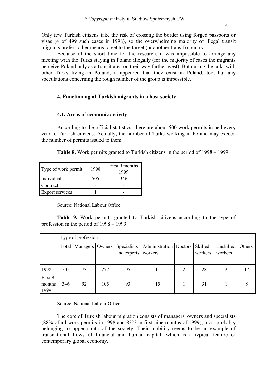Only few Turkish citizens take the risk of crossing the border using forged passports or visas (4 of 499 such cases in 1998), so the overwhelming majority of illegal transit migrants prefers other means to get to the target (or another transit) country.

Because of the short time for the research, it was impossible to arrange any meeting with the Turks staying in Poland illegally (for the majority of cases the migrants perceive Poland only as a transit area on their way further west). But during the talks with other Turks living in Poland, it appeared that they exist in Poland, too, but any speculations concerning the rough number of the group is impossible.

## **4. Functioning of Turkish migrants in a host society**

## **4.1. Areas of economic activity**

According to the official statistics, there are about 500 work permits issued every year to Turkish citizens. Actually, the number of Turks working in Poland may exceed the number of permits issued to them.

| Table 8. Work permits granted to Turkish citizens in the period of 1998 – 1999 |  |  |  |  |  |  |  |  |  |
|--------------------------------------------------------------------------------|--|--|--|--|--|--|--|--|--|
|--------------------------------------------------------------------------------|--|--|--|--|--|--|--|--|--|

| Type of work permit    | 1998 | First 9 months<br>1999 |
|------------------------|------|------------------------|
| Individual             | 505  | 346                    |
| Contract               |      |                        |
| <b>Export services</b> |      |                        |

Source: National Labour Office

**Table 9.** Work permits granted to Turkish citizens according to the type of profession in the period of 1998 – 1999

|                           | Type of profession |          |        |                            |                                               |   |         |                      |        |  |
|---------------------------|--------------------|----------|--------|----------------------------|-----------------------------------------------|---|---------|----------------------|--------|--|
|                           | Total              | Managers | Owners | Specialists<br>and experts | Administration   Doctors   Skilled<br>workers |   | workers | Unskilled<br>workers | Others |  |
| 1998                      | 505                | 73       | 277    | 95                         | 11                                            | 2 | 28      | 2                    | 17     |  |
| First 9<br>months<br>1999 | 346                | 92       | 105    | 93                         | 15                                            |   | 31      |                      | 8      |  |

Source: National Labour Office

The core of Turkish labour migration consists of managers, owners and specialists (88% of all work permits in 1998 and 83% in first nine months of 1999), most probably belonging to upper strata of the society. Their mobility seems to be an example of transnational flows of financial and human capital, which is a typical feature of contemporary global economy.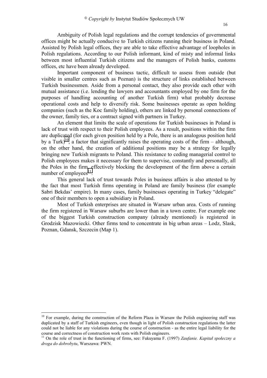Ambiguity of Polish legal regulations and the corrupt tendencies of governmental offices might be actually conducive to Turkish citizens running their business in Poland. Assisted by Polish legal offices, they are able to take effective advantage of loopholes in Polish regulations. According to our Polish informant, kind of misty and informal links between most influential Turkish citizens and the managers of Polish banks, customs offices, etc have been already developed.

Important component of business tactic, difficult to assess from outside (but visible in smaller centres such as Poznan) is the structure of links established between Turkish businessmen. Aside from a personal contact, they also provide each other with mutual assistance (i.e. lending the lawyers and accountants employed by one firm for the purposes of handling accounting of another Turkish firm) what probably decrease operational costs and help to diversify risk. Some businesses operate as open holding companies (such as the Koc family holding), others are linked by personal connections of the owner, family ties, or a contract signed with partners in Turkey.

An element that limits the scale of operations for Turkish businesses in Poland is lack of trust with respect to their Polish employees. As a result, positions within the firm are duplicated (for each given position held by a Pole, there is an analogous position held by a Turk)<sup>10</sup>, a factor that significantly raises the operating costs of the firm – although, on the other hand, the creation of additional positions may be a strategy for legally bringing new Turkish migrants to Poland. This resistance to ceding managerial control to Polish employees makes it necessary for them to supervise, constantly and personally, all the Poles in the firm, effectively blocking the development of the firm above a certain number of employees $^{11}$ .

This general lack of trust towards Poles in business affairs is also attested to by the fact that most Turkish firms operating in Poland are family business (for example Sabri Bekdas' empire). In many cases, family businesses operating in Turkey "delegate" one of their members to open a subsidiary in Poland.

Most of Turkish enterprises are situated in Warsaw urban area. Costs of running the firm registered in Warsaw suburbs are lower than in a town centre. For example one of the biggest Turkish construction company (already mentioned) is registered in Grodzisk Mazowiecki. Other firms tend to concentrate in big urban areas – Lodz, Slask, Poznan, Gdansk, Szczecin (Map 1).

 $\overline{a}$ 

<sup>&</sup>lt;sup>10</sup> For example, during the construction of the Reform Plaza in Warsaw the Polish engineering staff was duplicated by a staff of Turkish engineers, even though in light of Polish construction regulations the latter could not be liable for any violations during the course of construction - as the entire legal liability for the course and correctness of construction work rests with Polish engineers.

<sup>11</sup> On the role of trust in the functioning of firms, see: Fukuyama F. (1997) *Zaufanie. Kapitał społeczny a droga do dobrobytu*, Warszawa: PWN.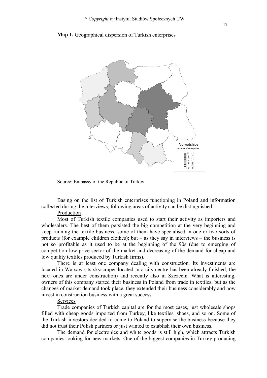



Source: Embassy of the Republic of Turkey

Basing on the list of Turkish enterprises functioning in Poland and information collected during the interviews, following areas of activity can be distinguished:

Production

Most of Turkish textile companies used to start their activity as importers and wholesalers. The best of them persisted the big competition at the very beginning and keep running the textile business; some of them have specialised in one or two sorts of products (for example children clothes); but – as they say in interviews – the business is not so profitable as it used to be at the beginning of the 90s (due to emerging of competition low-price sector of the market and decreasing of the demand for cheap and low quality textiles produced by Turkish firms).

There is at least one company dealing with construction. Its investments are located in Warsaw (its skyscraper located in a city centre has been already finished, the next ones are under construction) and recently also in Szczecin. What is interesting, owners of this company started their business in Poland from trade in textiles, but as the changes of market demand took place, they extended their business considerably and now invest in construction business with a great success.

## Services

Trade companies of Turkish capital are for the most cases, just wholesale shops filled with cheap goods imported from Turkey, like textiles, shoes, and so on. Some of the Turkish investors decided to come to Poland to supervise the business because they did not trust their Polish partners or just wanted to establish their own business.

The demand for electronics and white goods is still high, which attracts Turkish companies looking for new markets. One of the biggest companies in Turkey producing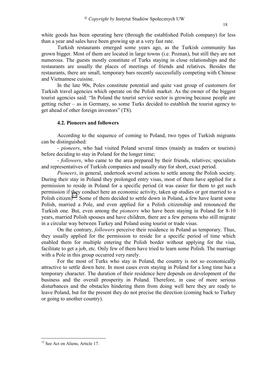white goods has been operating here (through the established Polish company) for less than a year and sales have been growing up at a very fast rate.

Turkish restaurants emerged some years ago, as the Turkish community has grown bigger. Most of them are located in large towns (i.e. Poznan), but still they are not numerous. The guests mostly constitute of Turks staying in close relationships and the restaurants are usually the places of meetings of friends and relatives. Besides the restaurants, there are small, temporary bars recently successfully competing with Chinese and Vietnamese cuisine.

In the late 90s, Poles constitute potential and quite vast group of customers for Turkish travel agencies which operate on the Polish market. As the owner of the biggest tourist agencies said: "In Poland the tourist service sector is growing because people are getting richer – as in Germany, so some Turks decided to establish the tourist agency to get ahead of other foreign investors" (T8).

#### **4.2. Pioneers and followers**

According to the sequence of coming to Poland, two types of Turkish migrants can be distinguished:

- *pioneers*, who had visited Poland several times (mainly as traders or tourists) before deciding to stay in Poland for the longer time;

- *followers*, who came to the area prepared by their friends, relatives; specialists and representatives of Turkish companies and usually stay for short, exact period.

*Pioneers*, in general, undertook several actions to settle among the Polish society. During their stay in Poland they prolonged entry visas, most of them have applied for a permission to reside in Poland for a specific period (it was easier for them to get such permission if they conduct here an economic activity, taken up studies or got married to a Polish citizen)<sup>12</sup>. Some of them decided to settle down in Poland, a few have learnt some Polish, married a Pole, and even applied for a Polish citizenship and renounced the Turkish one. But, even among the *pioneers* who have been staying in Poland for 8-10 years, married Polish spouses and have children, there are a few persons who still migrate in a circular way between Turkey and Poland using tourist or trade visas.

On the contrary, *followers* perceive their residence in Poland as temporary. Thus, they usually applied for the permission to reside for a specific period of time which enabled them for multiple entering the Polish border without applying for the visa, facilitate to get a job, etc. Only few of them have tried to learn some Polish. The marriage with a Pole in this group occurred very rarely.

For the most of Turks who stay in Poland, the country is not so economically attractive to settle down here. In most cases even staying in Poland for a long time has a temporary character. The duration of their residence here depends on development of the business and the overall prosperity in Poland. Therefore, in case of more serious disturbances and the obstacles hindering them from doing well here they are ready to leave Poland, but for the present they do not precise the direction (coming back to Turkey or going to another country).

 $\overline{a}$ 

<sup>&</sup>lt;sup>12</sup> See Act on Aliens, Article 17.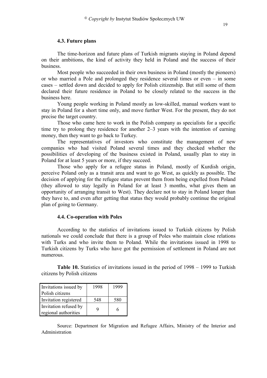## **4.3. Future plans**

The time-horizon and future plans of Turkish migrants staying in Poland depend on their ambitions, the kind of activity they held in Poland and the success of their business.

Most people who succeeded in their own business in Poland (mostly the pioneers) or who married a Pole and prolonged they residence several times or even – in some cases – settled down and decided to apply for Polish citizenship. But still some of them declared their future residence in Poland to be closely related to the success in the business here.

Young people working in Poland mostly as low-skilled, manual workers want to stay in Poland for a short time only, and move further West. For the present, they do not precise the target country.

Those who came here to work in the Polish company as specialists for a specific time try to prolong they residence for another 2–3 years with the intention of earning money, then they want to go back to Turkey.

The representatives of investors who constitute the management of new companies who had visited Poland several times and they checked whether the possibilities of developing of the business existed in Poland, usually plan to stay in Poland for at least 5 years or more, if they succeed.

Those who apply for a refugee status in Poland, mostly of Kurdish origin, perceive Poland only as a transit area and want to go West, as quickly as possible. The decision of applying for the refugee status prevent them from being expelled from Poland (they allowed to stay legally in Poland for at least 3 months, what gives them an opportunity of arranging transit to West). They declare not to stay in Poland longer than they have to, and even after getting that status they would probably continue the original plan of going to Germany.

## **4.4. Co-operation with Poles**

According to the statistics of invitations issued to Turkish citizens by Polish nationals we could conclude that there is a group of Poles who maintain close relations with Turks and who invite them to Poland. While the invitations issued in 1998 to Turkish citizens by Turks who have got the permission of settlement in Poland are not numerous.

**Table 10.** Statistics of invitations issued in the period of 1998 – 1999 to Turkish citizens by Polish citizens

| Invitations issued by                         | 1998 | 1999 |
|-----------------------------------------------|------|------|
| Polish citizens                               |      |      |
| Invitation registered                         | 548  | 580  |
| Invitation refused by<br>regional authorities |      | 6    |

Source: Department for Migration and Refugee Affairs, Ministry of the Interior and Administration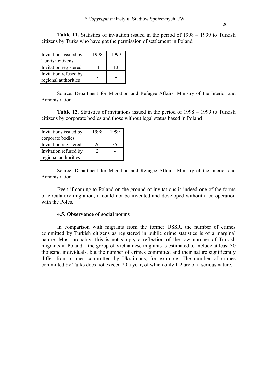**Table 11.** Statistics of invitation issued in the period of 1998 – 1999 to Turkish citizens by Turks who have got the permission of settlement in Poland

| Invitations issued by<br>Turkish citizens | 1998 | 1999 |  |  |  |  |
|-------------------------------------------|------|------|--|--|--|--|
| Invitation registered                     |      | 13   |  |  |  |  |
| Invitation refused by                     |      |      |  |  |  |  |
| regional authorities                      |      |      |  |  |  |  |

Source: Department for Migration and Refugee Affairs, Ministry of the Interior and Administration

**Table 12.** Statistics of invitations issued in the period of 1998 – 1999 to Turkish citizens by corporate bodies and those without legal status based in Poland

| Invitations issued by | 1998 | 1999 |  |  |  |  |
|-----------------------|------|------|--|--|--|--|
| corporate bodies      |      |      |  |  |  |  |
| Invitation registered | 26   | 35   |  |  |  |  |
| Invitation refused by |      |      |  |  |  |  |
| regional authorities  |      |      |  |  |  |  |

Source: Department for Migration and Refugee Affairs, Ministry of the Interior and Administration

Even if coming to Poland on the ground of invitations is indeed one of the forms of circulatory migration, it could not be invented and developed without a co-operation with the Poles.

## **4.5. Observance of social norms**

In comparison with migrants from the former USSR, the number of crimes committed by Turkish citizens as registered in public crime statistics is of a marginal nature. Most probably, this is not simply a reflection of the low number of Turkish migrants in Poland – the group of Vietnamese migrants is estimated to include at least 30 thousand individuals, but the number of crimes committed and their nature significantly differ from crimes committed by Ukrainians, for example. The number of crimes committed by Turks does not exceed 20 a year, of which only 1-2 are of a serious nature.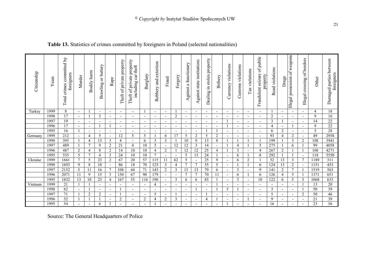## **Table 13.** Statistics of crimes committed by foreigners in Poland (selected nationalities)

| Citizenship | Years | Total crimes committed by<br>foreigners | Murder                   | Bodily harm              | Brawling or battery      | Rape                     | Theft of private property | Theft of private property<br>including car theft | Burglary                 | extortion<br>Robbery and | Fraud                    | Forgery                  | functionary<br>Against a | Against state institutions | in stolen property<br>Dealing i | Bribery                  | violations<br>Currency   | Customs violations       | ax violations<br>⊢       | of public<br>Fraudulent seizure<br>property | Road violations          | Drugs                    | weapons<br>possession of<br>Illegal | of borders<br>crossing<br>Illegal | Other       | Damaged parties between<br>foreigners |
|-------------|-------|-----------------------------------------|--------------------------|--------------------------|--------------------------|--------------------------|---------------------------|--------------------------------------------------|--------------------------|--------------------------|--------------------------|--------------------------|--------------------------|----------------------------|---------------------------------|--------------------------|--------------------------|--------------------------|--------------------------|---------------------------------------------|--------------------------|--------------------------|-------------------------------------|-----------------------------------|-------------|---------------------------------------|
| Turkey      | 1999  | 8                                       | $\overline{\phantom{a}}$ |                          | $\overline{\phantom{a}}$ | $\overline{\phantom{a}}$ | $\overline{\phantom{a}}$  | $\overline{\phantom{a}}$                         |                          | $\overline{\phantom{a}}$ | $\overline{\phantom{a}}$ |                          | $\overline{\phantom{a}}$ | $\overline{\phantom{0}}$   | $\overline{\phantom{a}}$        | $\overline{\phantom{a}}$ | $\overline{\phantom{a}}$ | $\overline{\phantom{a}}$ | $\overline{\phantom{a}}$ | $\sim$                                      |                          | $\overline{\phantom{a}}$ | $\overline{\phantom{a}}$            | $\overline{\phantom{a}}$          | 4           | 18                                    |
|             | 1998  | 17                                      | $\blacksquare$           |                          | 3                        | $\overline{\phantom{a}}$ | $\overline{\phantom{a}}$  | $\overline{\phantom{a}}$                         | $\overline{\phantom{a}}$ | $\overline{\phantom{a}}$ | $\overline{\phantom{a}}$ | $\overline{2}$           | $\overline{\phantom{a}}$ |                            | $\overline{\phantom{a}}$        | $\overline{\phantom{a}}$ | $\overline{\phantom{a}}$ | $\overline{\phantom{0}}$ | $\overline{\phantom{a}}$ | $\blacksquare$                              | $\overline{c}$           | $\overline{\phantom{a}}$ | $\overline{\phantom{a}}$            | $\blacksquare$                    | $\mathbf Q$ | 16                                    |
|             | 1997  | 19                                      | $\overline{\phantom{a}}$ | $\overline{\phantom{a}}$ | $\blacksquare$           | $\overline{\phantom{a}}$ | $\overline{\phantom{a}}$  | ٠                                                | $\overline{\phantom{a}}$ |                          | $\overline{\phantom{a}}$ | $\blacksquare$           | $\overline{\phantom{a}}$ | $\overline{\phantom{a}}$   | $\overline{\phantom{a}}$        | $\overline{\phantom{a}}$ |                          | $\overline{\phantom{a}}$ | $\blacksquare$           | $\overline{\phantom{a}}$                    | 3                        |                          | $\blacksquare$                      | $\overline{\phantom{0}}$          | 14          | 22                                    |
|             | 1996  | 17                                      | $\overline{a}$           | $\blacksquare$           |                          |                          |                           | $\overline{\phantom{0}}$                         |                          |                          | $\overline{\phantom{a}}$ | $\overline{\phantom{0}}$ | $\blacksquare$           |                            | $\overline{\phantom{0}}$        | ۰                        |                          | $\overline{\phantom{a}}$ | $\blacksquare$           | $\blacksquare$                              | $\overline{4}$           | $\overline{\phantom{a}}$ |                                     | $\blacksquare$                    | 9           | 22                                    |
|             | 1995  | 16                                      |                          | $\overline{\phantom{a}}$ | $\blacksquare$           | $\overline{\phantom{a}}$ |                           | $\overline{\phantom{0}}$                         | $\overline{\phantom{0}}$ |                          | $\overline{\phantom{a}}$ | $\overline{\phantom{a}}$ | $\overline{\phantom{a}}$ |                            |                                 |                          | $\overline{\phantom{a}}$ | $\overline{\phantom{0}}$ | $\overline{\phantom{a}}$ | $\overline{\phantom{a}}$                    | 6                        | $\overline{c}$           | $\overline{\phantom{a}}$            | $\overline{\phantom{a}}$          | 5           | 28                                    |
| Germany     | 1999  | 212                                     | $\overline{\phantom{a}}$ | $\overline{4}$           | 5                        | $\overline{\phantom{a}}$ | $\overline{2}$            | 5                                                | 5                        |                          | 6                        | 17                       | 5                        | $\overline{2}$             | 5                               | $\overline{2}$           | $\overline{\phantom{a}}$ | $\overline{\phantom{a}}$ | $\overline{\phantom{a}}$ | $\blacksquare$                              | 93                       | 4                        | $\overline{2}$                      | $\overline{\phantom{a}}$          | 49          | 2958                                  |
|             | 1998  | 395                                     |                          | $\overline{4}$           | 13                       | 3                        | $\overline{\mathcal{L}}$  | $\overline{\phantom{a}}$                         | 6                        | 3                        | 3                        |                          | 10                       | 9                          | 13                              | 8                        |                          |                          |                          |                                             | 199                      |                          | 3                                   | $\overline{c}$                    | 108         | 3941                                  |
|             | 1997  | 489                                     |                          | $\overline{7}$           | 9                        | $\overline{2}$           | 21                        | 4                                                | 10                       | 5                        | $\overline{\phantom{a}}$ | 12                       | 12                       | 3                          | 14                              | $\overline{\phantom{a}}$ |                          | $\overline{4}$           |                          | 5                                           | 275                      |                          | 6                                   |                                   | 99          | 4058                                  |
|             | 1996  | 487                                     | $\overline{2}$           | $\overline{4}$           | 8                        | $\overline{2}$           | 14                        | 10                                               | 10                       | $\overline{4}$           | $\sqrt{2}$               |                          | 12                       | $\overline{12}$            | $\overline{25}$                 | 4                        |                          | $\overline{\mathbf{3}}$  | $\blacksquare$           | 4                                           | 267                      | $\sqrt{2}$               |                                     |                                   | 108         | 4271                                  |
|             | 1995  | 535                                     | 5                        | $\overline{7}$           | 4                        | 3                        | 24                        | 10                                               | 10                       | $\tau$                   | $\overline{\phantom{a}}$ | $\overline{\phantom{a}}$ | 5                        | 13                         | 24                              |                          | $\sim$                   | 6                        |                          | 8                                           | 292                      |                          |                                     | $\overline{\phantom{a}}$          | 118         | 5550                                  |
| Ukraine     | 1999  | 1661                                    | $\tau$                   | 5                        | $\overline{23}$          | $\overline{2}$           | 67                        | 20                                               | $\overline{57}$          | 115                      | 11                       | 62                       | 5                        |                            | 25                              | 9                        | $\overline{\phantom{a}}$ | 6                        | $\overline{2}$           |                                             | $\overline{52}$          | 13                       | 3                                   | $\overline{7}$                    | 1189        | 311                                   |
|             | 1998  | 1693                                    | 9                        | 8                        | 18                       | $\overline{\phantom{a}}$ | 86                        | $18\,$                                           | 70                       | 125                      | 3                        | 4                        | $\overline{7}$           | $\overline{7}$             | 55                              | 5                        | $\overline{\phantom{a}}$ |                          |                          | 6                                           | 124                      | 13                       | $\overline{2}$                      | $\overline{\phantom{a}}$          | 1151        | 453                                   |
|             | 1997  | 2152                                    | 5                        | 11                       | 16                       | $\overline{7}$           | 108                       | 44                                               | 71                       | $\overline{143}$         | $\overline{2}$           | 3                        | 13                       | 13                         | 79                              | 6                        | $\overline{\phantom{a}}$ | $\overline{3}$           | $\overline{\phantom{a}}$ | 9                                           | 141                      | $\sqrt{2}$               | $\overline{7}$                      |                                   | 1519        | 563                                   |
|             | 1996  | 2071                                    | 11                       | 9                        | 15                       | 3                        | 150                       | 67                                               | 90                       | 179                      | $\overline{\phantom{a}}$ | $\overline{\phantom{a}}$ | $\overline{7}$           | 7                          | 70                              | 11                       | $\overline{\phantom{a}}$ | 6                        |                          | 6                                           | 126                      | $\overline{4}$           | 5                                   |                                   | 1371        | 651                                   |
|             | 1995  | 1832                                    | 13                       | 10                       | 23                       | $\overline{4}$           | 167                       | $\overline{55}$                                  | 116                      | 196                      | $\overline{\phantom{a}}$ | 3                        | 6                        | 6                          | 83                              |                          | $\overline{\phantom{a}}$ | 3                        | $\overline{\phantom{a}}$ | 10                                          | 122                      | 6                        | 5                                   | 3                                 | 1068        | 633                                   |
| Vietnam     | 1999  | 21                                      |                          |                          | $\overline{\phantom{a}}$ | $\overline{\phantom{a}}$ | $\overline{\phantom{a}}$  | -                                                |                          | $\overline{4}$           | $\overline{\phantom{a}}$ | $\overline{\phantom{a}}$ | $\overline{\phantom{a}}$ |                            | $\overline{\phantom{a}}$        |                          | $\overline{\phantom{a}}$ | ٠                        | $\overline{\phantom{a}}$ | $\overline{\phantom{a}}$                    | $\overline{\phantom{a}}$ | $\overline{\phantom{a}}$ | $\overline{\phantom{a}}$            |                                   | 13          | 20                                    |
|             | 1998  | 62                                      | $\overline{\phantom{a}}$ |                          |                          | $\sim$                   |                           | $\overline{\phantom{0}}$                         |                          |                          |                          |                          | $\overline{\phantom{a}}$ |                            | $\overline{a}$                  |                          | $\overline{3}$           |                          | $\overline{a}$           | $\blacksquare$                              | 3                        | $\overline{a}$           | $\overline{\phantom{a}}$            |                                   | 50          | 39                                    |
|             | 1997  | 71                                      |                          | $\overline{2}$           | $\overline{c}$           | $\sim$                   |                           | $\overline{\phantom{a}}$                         |                          | 5                        | $\overline{\phantom{a}}$ |                          | $\overline{\phantom{a}}$ |                            |                                 | ٠                        | $\overline{\phantom{a}}$ | $\overline{\phantom{a}}$ | $\blacksquare$           | $\blacksquare$                              | 5                        | $\overline{\phantom{a}}$ | $\overline{\phantom{a}}$            | $\sqrt{2}$                        | 50          | 46                                    |
|             | 1996  | 52                                      |                          |                          |                          | $\overline{\phantom{a}}$ | $\overline{c}$            | $\overline{\phantom{a}}$                         | $\overline{2}$           | 4                        | $\overline{c}$           | 3                        | $\overline{\phantom{a}}$ | $\overline{\phantom{a}}$   | 4                               |                          | $\overline{\phantom{a}}$ | $\overline{\phantom{0}}$ |                          | $\blacksquare$                              | 9                        | $\overline{\phantom{a}}$ | $\overline{\phantom{a}}$            | $\overline{\phantom{a}}$          | 21          | 39                                    |
|             | 1995  | 54                                      |                          | $\overline{\phantom{a}}$ | 6                        |                          |                           |                                                  |                          |                          |                          |                          | $\blacksquare$           |                            |                                 |                          |                          | ٠                        |                          | $\overline{\phantom{a}}$                    | 16                       | $\overline{\phantom{a}}$ |                                     |                                   | 23          | $\overline{56}$                       |

Source: The General Headquarters of Police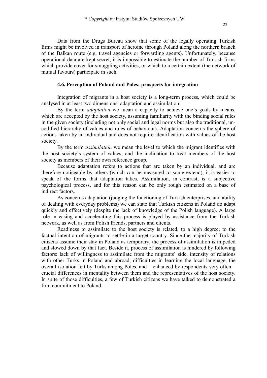Data from the Drugs Bureau show that some of the legally operating Turkish firms might be involved in transport of heroine through Poland along the northern branch of the Balkan route (e.g. travel agencies or forwarding agents). Unfortunately, because operational data are kept secret, it is impossible to estimate the number of Turkish firms which provide cover for smuggling activities, or which to a certain extent (the network of mutual favours) participate in such.

## **4.6. Perception of Poland and Poles: prospects for integration**

Integration of migrants in a host society is a long-term process, which could be analysed in at least two dimensions: adaptation and assimilation.

By the term *adaptation* we mean a capacity to achieve one's goals by means, which are accepted by the host society, assuming familiarity with the binding social rules in the given society (including not only social and legal norms but also the traditional, uncodified hierarchy of values and rules of behaviour). Adaptation concerns the sphere of actions taken by an individual and does not require identification with values of the host society.

By the term *assimilation* we mean the level to which the migrant identifies with the host society's system of values, and the inclination to treat members of the host society as members of their own reference group.

Because adaptation refers to actions that are taken by an individual, and are therefore noticeable by others (which can be measured to some extend), it is easier to speak of the forms that adaptation takes. Assimilation, in contrast, is a subjective psychological process, and for this reason can be only rough estimated on a base of indirect factors.

As concerns adaptation (judging the functioning of Turkish enterprises, and ability of dealing with everyday problems) we can state that Turkish citizens in Poland do adapt quickly and effectively (despite the lack of knowledge of the Polish language). A large role in easing and accelerating this process is played by assistance from the Turkish network, as well as from Polish friends, partners and clients.

Readiness to assimilate to the host society is related, to a high degree, to the factual intention of migrants to settle in a target country. Since the majority of Turkish citizens assume their stay in Poland as temporary, the process of assimilation is impeded and slowed down by that fact. Beside it, process of assimilation is hindered by following factors: lack of willingness to assimilate from the migrants' side, intensity of relations with other Turks in Poland and abroad, difficulties in learning the local language, the overall isolation felt by Turks among Poles, and – enhanced by respondents very often – crucial differences in mentality between them and the representatives of the host society. In spite of those difficulties, a few of Turkish citizens we have talked to demonstrated a firm commitment to Poland.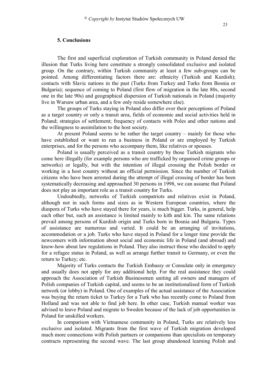## **5. Conclusions**

The first and superficial exploration of Turkish community in Poland denied the illusion that Turks living here constitute a strongly consolidated exclusive and isolated group. On the contrary, within Turkish community at least a few sub-groups can be pointed. Among differentiating factors there are: ethnicity (Turkish and Kurdish); contacts with Slavic nations in the past (Turks from Turkey and Turks from Bosnia or Bulgaria); sequence of coming to Poland (first flow of migration in the late 80s, second one in the late 90s) and geographical dispersion of Turkish nationals in Poland (majority live in Warsaw urban area, and a few only reside somewhere else).

The groups of Turks staying in Poland also differ over their perceptions of Poland as a target country or only a transit area, fields of economic and social activities held in Poland; strategies of settlement; frequency of contacts with Poles and other nations and the willingness to assimilation to the host society.

At present Poland seems to be rather the target country – mainly for those who have established or want to run a business in Poland or are employed by Turkish enterprises, and for the persons who accompany them, like relatives or spouses.

Poland is usually perceived as a transit country by those Turkish migrants who come here illegally (for example persons who are trafficked by organised crime groups or networks) or legally, but with the intention of illegal crossing the Polish border or working in a host country without an official permission. Since the number of Turkish citizens who have been arrested during the attempt of illegal crossing of border has been systematically decreasing and approached 30 persons in 1998, we can assume that Poland does not play an important role as a transit country for Turks.

Undoubtedly, networks of Turkish compatriots and relatives exist in Poland, although not in such forms and sizes as in Western European countries, where the diaspora of Turks who have stayed there for years, is much bigger. Turks, in general, help each other but, such an assistance is limited mainly to kith and kin. The same relations prevail among persons of Kurdish origin and Turks born in Bosnia and Bulgaria. Types of assistance are numerous and varied. It could be an arranging of invitations, accommodation or a job. Turks who have stayed in Poland for a longer time provide the newcomers with information about social and economic life in Poland (and abroad) and know-how about law regulations in Poland. They also instruct those who decided to apply for a refugee status in Poland, as well as arrange further transit to Germany, or even the return to Turkey; etc.

Majority of Turks contacts the Turkish Embassy or Consulate only in emergency and usually does not apply for any additional help. For the real assistance they could approach the Association of Turkish Businessmen uniting all owners and managers of Polish companies of Turkish capital, and seems to be an institutionalised form of Turkish network (or lobby) in Poland. One of examples of the actual assistance of the Association was buying the return ticket to Turkey for a Turk who has recently come to Poland from Holland and was not able to find job here. In other case, Turkish manual worker was advised to leave Poland and migrate to Sweden because of the lack of job opportunities in Poland for unskilled workers.

In comparison with Vietnamese community in Poland, Turks are relatively less exclusive and isolated. Migrants from the first wave of Turkish migration developed much more connections with Polish partners or companions than specialists on temporary contracts representing the second wave. The last group abandoned learning Polish and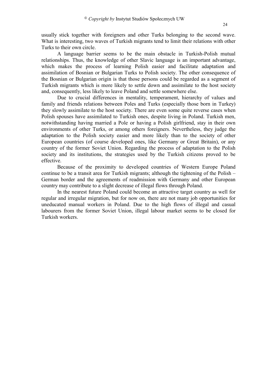usually stick together with foreigners and other Turks belonging to the second wave. What is interesting, two waves of Turkish migrants tend to limit their relations with other Turks to their own circle.

A language barrier seems to be the main obstacle in Turkish-Polish mutual relationships. Thus, the knowledge of other Slavic language is an important advantage, which makes the process of learning Polish easier and facilitate adaptation and assimilation of Bosnian or Bulgarian Turks to Polish society. The other consequence of the Bosnian or Bulgarian origin is that those persons could be regarded as a segment of Turkish migrants which is more likely to settle down and assimilate to the host society and, consequently, less likely to leave Poland and settle somewhere else.

Due to crucial differences in mentality, temperament, hierarchy of values and family and friends relations between Poles and Turks (especially those born in Turkey) they slowly assimilate to the host society. There are even some quite reverse cases when Polish spouses have assimilated to Turkish ones, despite living in Poland. Turkish men, notwithstanding having married a Pole or having a Polish girlfriend, stay in their own environments of other Turks, or among others foreigners. Nevertheless, they judge the adaptation to the Polish society easier and more likely than to the society of other European countries (of course developed ones, like Germany or Great Britain), or any country of the former Soviet Union. Regarding the process of adaptation to the Polish society and its institutions, the strategies used by the Turkish citizens proved to be effective.

Because of the proximity to developed countries of Western Europe Poland continue to be a transit area for Turkish migrants; although the tightening of the Polish – German border and the agreements of readmission with Germany and other European country may contribute to a slight decrease of illegal flows through Poland.

In the nearest future Poland could become an attractive target country as well for regular and irregular migration, but for now on, there are not many job opportunities for uneducated manual workers in Poland. Due to the high flows of illegal and casual labourers from the former Soviet Union, illegal labour market seems to be closed for Turkish workers.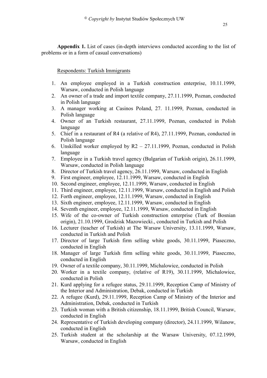**Appendix 1.** List of cases (in-depth interviews conducted according to the list of problems or in a form of casual conversations)

## Respondents: Turkish Immigrants

- 1. An employee employed in a Turkish construction enterprise, 10.11.1999, Warsaw, conducted in Polish language
- 2. An owner of a trade and import textile company, 27.11.1999, Poznan, conducted in Polish language
- 3. A manager working at Casinos Poland, 27. 11.1999, Poznan, conducted in Polish language
- 4. Owner of an Turkish restaurant, 27.11.1999, Poznan, conducted in Polish language
- 5. Chief in a restaurant of R4 (a relative of R4), 27.11.1999, Poznan, conducted in Polish language
- 6. Unskilled worker employed by R2 27.11.1999, Poznan, conducted in Polish language
- 7. Employee in a Turkish travel agency (Bulgarian of Turkish origin), 26.11.1999, Warsaw, conducted in Polish language
- 8. Director of Turkish travel agency, 26.11.1999, Warsaw, conducted in English
- 9. First engineer, employee, 12.11.1999, Warsaw, conducted in English
- 10. Second engineer, employee, 12.11.1999, Warsaw, conducted in English
- 11. Third engineer, employee, 12.11.1999, Warsaw, conducted in English and Polish
- 12. Forth engineer, employee, 12.11.1999, Warsaw, conducted in English
- 13. Sixth engineer, employee, 12.11.1999, Warsaw, conducted in English
- 14. Seventh engineer, employee, 12.11.1999, Warsaw, conducted in English
- 15. Wife of the co-owner of Turkish construction enterprise (Turk of Bosnian origin), 21.10.1999, Grodzisk Mazowiecki., conducted in Turkish and Polish
- 16. Lecturer (teacher of Turkish) at The Warsaw University, 13.11.1999, Warsaw, conducted in Turkish and Polish
- 17. Director of large Turkish firm selling white goods, 30.11.1999, Piaseczno, conducted in English
- 18. Manager of large Turkish firm selling white goods, 30.11.1999, Piaseczno, conducted in English
- 19. Owner of a textile company, 30.11.1999, Michalowice, conducted in Polish
- 20. Worker in a textile company, (relative of R19), 30.11.1999, Michalowice, conducted in Polish
- 21. Kurd applying for a refugee status, 29.11.1999, Reception Camp of Ministry of the Interior and Administration, Debak, conducted in Turkish
- 22. A refugee (Kurd), 29.11.1999, Reception Camp of Ministry of the Interior and Administration, Debak, conducted in Turkish
- 23. Turkish woman with a British citizenship, 18.11.1999, British Council, Warsaw, conducted in English
- 24. Representative of Turkish developing company (director), 24.11.1999, Wilanow, conducted in English
- 25. Turkish student at the scholarship at the Warsaw University, 07.12.1999, Warsaw, conducted in English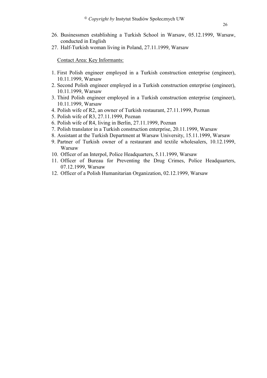- 26. Businessmen establishing a Turkish School in Warsaw, 05.12.1999, Warsaw, conducted in English
- 27. Half-Turkish woman living in Poland, 27.11.1999, Warsaw

Contact Area: Key Informants:

- 1. First Polish engineer employed in a Turkish construction enterprise (engineer), 10.11.1999, Warsaw
- 2. Second Polish engineer employed in a Turkish construction enterprise (engineer), 10.11.1999, Warsaw
- 3. Third Polish engineer employed in a Turkish construction enterprise (engineer), 10.11.1999, Warsaw
- 4. Polish wife of R2, an owner of Turkish restaurant, 27.11.1999, Poznan
- 5. Polish wife of R3, 27.11.1999, Poznan
- 6. Polish wife of R4, living in Berlin, 27.11.1999, Poznan
- 7. Polish translator in a Turkish construction enterprise, 20.11.1999, Warsaw
- 8. Assistant at the Turkish Department at Warsaw University, 15.11.1999, Warsaw
- 9. Partner of Turkish owner of a restaurant and textile wholesalers, 10.12.1999, Warsaw
- 10. Officer of an Interpol, Police Headquarters, 5.11.1999, Warsaw
- 11. Officer of Bureau for Preventing the Drug Crimes, Police Headquarters, 07.12.1999, Warsaw
- 12. Officer of a Polish Humanitarian Organization, 02.12.1999, Warsaw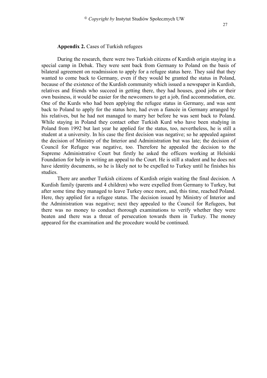#### **Appendix 2.** Cases of Turkish refugees

During the research, there were two Turkish citizens of Kurdish origin staying in a special camp in Debak. They were sent back from Germany to Poland on the basis of bilateral agreement on readmission to apply for a refugee status here. They said that they wanted to come back to Germany, even if they would be granted the status in Poland, because of the existence of the Kurdish community which issued a newspaper in Kurdish, relatives and friends who succeed in getting there, they had houses, good jobs or their own business, it would be easier for the newcomers to get a job, find accommodation, etc. One of the Kurds who had been applying the refugee status in Germany, and was sent back to Poland to apply for the status here, had even a fiancée in Germany arranged by his relatives, but he had not managed to marry her before he was sent back to Poland. While staying in Poland they contact other Turkish Kurd who have been studying in Poland from 1992 but last year he applied for the status, too, nevertheless, he is still a student at a university. In his case the first decision was negative; so he appealed against the decision of Ministry of the Interior and Administration but was late; the decision of Council for Refugee was negative, too. Therefore he appealed the decision to the Supreme Administrative Court but firstly he asked the officers working at Helsinki Foundation for help in writing an appeal to the Court. He is still a student and he does not have identity documents, so he is likely not to be expelled to Turkey until he finishes his studies.

There are another Turkish citizens of Kurdish origin waiting the final decision. A Kurdish family (parents and 4 children) who were expelled from Germany to Turkey, but after some time they managed to leave Turkey once more, and, this time, reached Poland. Here, they applied for a refugee status. The decision issued by Ministry of Interior and the Administration was negative; next they appealed to the Council for Refugees, but there was no money to conduct thorough examinations to verify whether they were beaten and there was a threat of persecution towards them in Turkey. The money appeared for the examination and the procedure would be continued.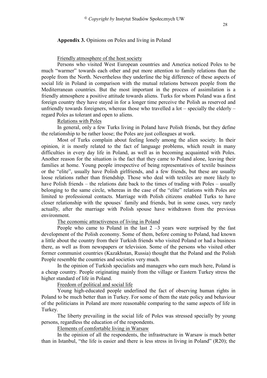#### **Appendix 3.** Opinions on Poles and living in Poland

#### Friendly atmosphere of the host society

Persons who visited West European countries and America noticed Poles to be much "warmer" towards each other and put more attention to family relations than the people from the North. Nevertheless they underline the big difference of these aspects of social life in Poland in comparison with the mutual relations between people from the Mediterranean countries. But the most important in the process of assimilation is a friendly atmosphere a positive attitude towards aliens. Turks for whom Poland was a first foreign country they have stayed in for a longer time perceive the Polish as reserved and unfriendly towards foreigners, whereas those who travelled a  $\text{lot}$  – specially the elderly – regard Poles as tolerant and open to aliens.

#### Relations with Poles

In general, only a few Turks living in Poland have Polish friends, but they define the relationship to be rather loose; the Poles are just colleagues at work.

Most of Turks complain about feeling lonely among the alien society. In their opinion, it is mostly related to the fact of language problems, which result in many difficulties in every day life in Poland, as well as in becoming acquainted with Poles. Another reason for the situation is the fact that they came to Poland alone, leaving their families at home. Young people irrespective of being representatives of textile business or the "elite", usually have Polish girlfriends, and a few friends, but these are usually loose relations rather than friendship. Those who deal with textiles are more likely to have Polish friends – the relations date back to the times of trading with Poles – usually belonging to the same circle, whereas in the case of the "elite" relations with Poles are limited to professional contacts. Marriage with Polish citizens enabled Turks to have closer relationship with the spouses` family and friends, but in some cases, very rarely actually, after the marriage with Polish spouse have withdrawn from the previous environment.

The economic attractiveness of living in Poland

People who came to Poland in the last  $2 - 3$  years were surprised by the fast development of the Polish economy. Some of them, before coming to Poland, had known a little about the country from their Turkish friends who visited Poland or had a business there, as well as from newspapers or television. Some of the persons who visited other former communist countries (Kazakhstan, Russia) thought that the Poland and the Polish People resemble the countries and societies very much.

In the opinion of Turkish specialists and managers who earn much here, Poland is a cheap country. People originating mainly from the village or Eastern Turkey stress the higher standard of life in Poland.

Freedom of political and social life

Young high-educated people underlined the fact of observing human rights in Poland to be much better than in Turkey. For some of them the state policy and behaviour of the politicians in Poland are more reasonable comparing to the same aspects of life in Turkey.

The liberty prevailing in the social life of Poles was stressed specially by young persons, regardless the education of the respondents.

Elements of comfortable living in Warsaw

In the opinion of all the respondents, the infrastructure in Warsaw is much better than in Istanbul, "the life is easier and there is less stress in living in Poland" (R20); the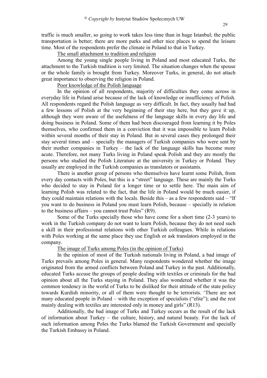traffic is much smaller, so going to work takes less time than in huge Istanbul; the public transportation is better; there are more parks and other nice places to spend the leisure time. Most of the respondents prefer the climate in Poland to that in Turkey.

The small attachment to tradition and religion

Among the young single people living in Poland and most educated Turks, the attachment to the Turkish tradition is very limited. The situation changes when the spouse or the whole family is brought from Turkey. Moreover Turks, in general, do not attach great importance to observing the religion in Poland.

Poor knowledge of the Polish language

In the opinion of all respondents, majority of difficulties they come across in everyday life in Poland arise because of the lack of knowledge or insufficiency of Polish. All respondents regard the Polish language as very difficult. In fact, they usually had had a few lessons of Polish at the very beginning of their stay here, but they gave it up, although they were aware of the usefulness of the language skills in every day life and doing business in Poland. Some of them had been discouraged from learning it by Poles themselves, who confirmed them in a conviction that it was impossible to learn Polish within several months of their stay in Poland. But in several cases they prolonged their stay several times and – specially the managers of Turkish companies who were sent by their mother companies in Turkey – the lack of the language skills has become more acute. Therefore, not many Turks living in Poland speak Polish and they are mostly the persons who studied the Polish Literature at the university in Turkey or Poland. They usually are employed in the Turkish companies as translators or assistants.

There is another group of persons who themselves have learnt some Polish, from every day contacts with Poles, but this is a "street" language. These are mainly the Turks who decided to stay in Poland for a longer time or to settle here. The main aim of learning Polish was related to the fact, that the life in Poland would be much easier, if they could maintain relations with the locals. Beside this – as a few respondents said – "If you want to do business in Poland you must learn Polish, because – specially in relation to the business affairs – you cannot trust Poles" (R9).

Some of the Turks specially those who have come for a short time (2-3 years) to work in the Turkish company do not want to learn Polish, because they do not need such a skill in their professional relations with other Turkish colleagues. While in relations with Poles working at the same place they use English or ask translators employed in the company.

## The image of Turks among Poles (in the opinion of Turks)

In the opinion of most of the Turkish nationals living in Poland, a bad image of Turks prevails among Poles in general. Many respondents wondered whether the image originated from the armed conflicts between Poland and Turkey in the past. Additionally, educated Turks accuse the groups of people dealing with textiles or criminals for the bad opinion about all the Turks staying in Poland. They also wondered whether it was the common tendency in the world of Turks to be disliked for their attitude of the state policy towards Kurdish minority, or all of them were thought to be terrorists. 'There are not many educated people in Poland – with the exception of specialists ("elite"); and the rest mainly dealing with textiles are interested only in money and girls" (R13).

Additionally, the bad image of Turks and Turkey occurs as the result of the lack of information about Turkey – the culture, history, and natural beauty. For the lack of such information among Poles the Turks blamed the Turkish Government and specially the Turkish Embassy in Poland.